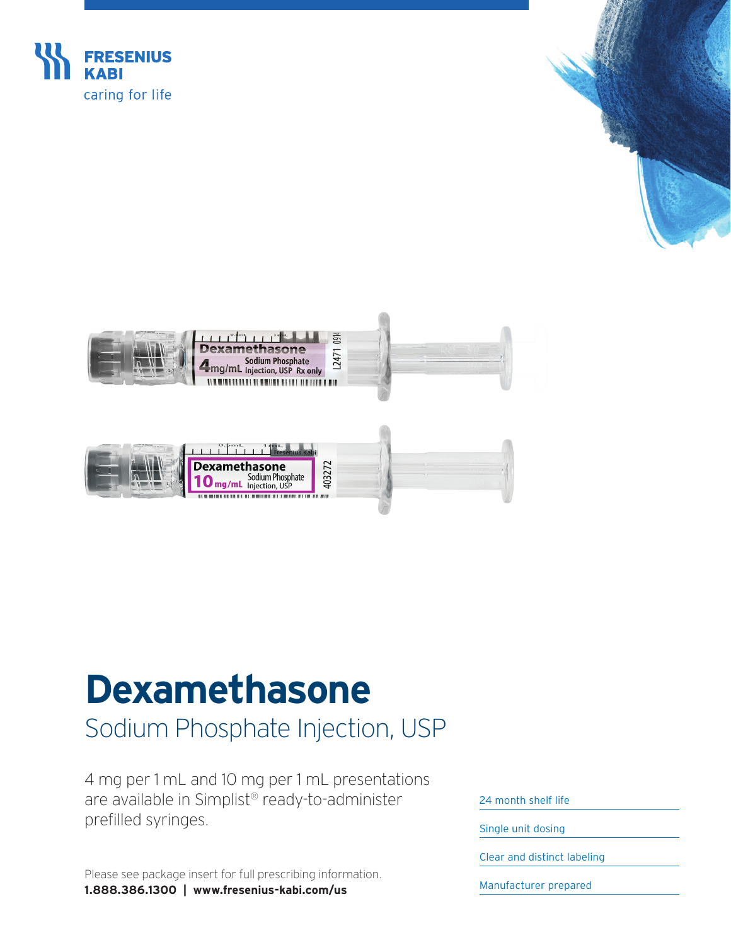

## **Dexamethasone**

## Sodium Phosphate Injection, USP

4 mg per 1 mL and 10 mg per 1 mL presentations are available in Simplist® ready-to-administer prefilled syringes.

Please see package insert for full prescribing information. **1.888.386.1300 | [www.fresenius-kabi.com/us](https://www.fresenius-kabi.com/us/)**

24 month shelf life

Single unit dosing

Clear and distinct labeling

Manufacturer prepared